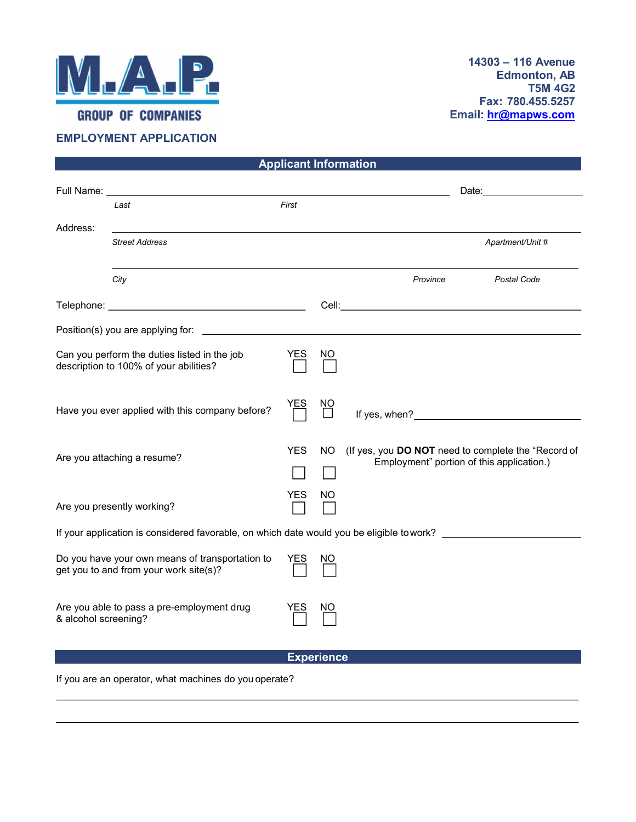

## EMPLOYMENT APPLICATION

|                                                                                                               |                                           | <b>Applicant Information</b> |           |                                                                                                                                                                                  |                                                                                                                                                                                                                                |
|---------------------------------------------------------------------------------------------------------------|-------------------------------------------|------------------------------|-----------|----------------------------------------------------------------------------------------------------------------------------------------------------------------------------------|--------------------------------------------------------------------------------------------------------------------------------------------------------------------------------------------------------------------------------|
|                                                                                                               | Full Name: <u>Cambridge Communication</u> |                              |           |                                                                                                                                                                                  | Date: the contract of the contract of the contract of the contract of the contract of the contract of the contract of the contract of the contract of the contract of the contract of the contract of the contract of the cont |
|                                                                                                               | Last                                      | First                        |           |                                                                                                                                                                                  |                                                                                                                                                                                                                                |
| Address:                                                                                                      | <b>Street Address</b>                     |                              |           |                                                                                                                                                                                  | Apartment/Unit #                                                                                                                                                                                                               |
|                                                                                                               |                                           |                              |           |                                                                                                                                                                                  |                                                                                                                                                                                                                                |
|                                                                                                               | City                                      |                              |           | Province                                                                                                                                                                         | Postal Code                                                                                                                                                                                                                    |
|                                                                                                               |                                           |                              |           | Cell: <b>Cell</b> : <b>Cell Cell Cell Cell Cell Cell Cell Cell Cell Cell Cell Cell Cell Cell Cell Cell Cell Cell Cell Cell Cell Cell Cell Cell Cell Cell Cell Cell Cell Cell</b> |                                                                                                                                                                                                                                |
| Position(s) you are applying for:                                                                             |                                           |                              |           |                                                                                                                                                                                  |                                                                                                                                                                                                                                |
| Can you perform the duties listed in the job                                                                  |                                           | <b>YES</b>                   | NO.       |                                                                                                                                                                                  |                                                                                                                                                                                                                                |
|                                                                                                               | description to 100% of your abilities?    |                              |           |                                                                                                                                                                                  |                                                                                                                                                                                                                                |
| Have you ever applied with this company before?                                                               |                                           | YES                          | ΝO        |                                                                                                                                                                                  |                                                                                                                                                                                                                                |
|                                                                                                               |                                           |                              |           |                                                                                                                                                                                  |                                                                                                                                                                                                                                |
| Are you attaching a resume?                                                                                   |                                           | <b>YES</b>                   | <b>NO</b> | (If yes, you DO NOT need to complete the "Record of<br>Employment" portion of this application.)                                                                                 |                                                                                                                                                                                                                                |
|                                                                                                               |                                           |                              |           |                                                                                                                                                                                  |                                                                                                                                                                                                                                |
|                                                                                                               |                                           | <b>YES</b>                   | ΝO        |                                                                                                                                                                                  |                                                                                                                                                                                                                                |
| Are you presently working?                                                                                    |                                           |                              |           |                                                                                                                                                                                  |                                                                                                                                                                                                                                |
| If your application is considered favorable, on which date would you be eligible to work? ___________________ |                                           |                              |           |                                                                                                                                                                                  |                                                                                                                                                                                                                                |
| Do you have your own means of transportation to<br>get you to and from your work site(s)?                     |                                           | <b>YES</b>                   | NO.       |                                                                                                                                                                                  |                                                                                                                                                                                                                                |
|                                                                                                               |                                           |                              |           |                                                                                                                                                                                  |                                                                                                                                                                                                                                |
| Are you able to pass a pre-employment drug                                                                    |                                           | <b>YES</b>                   | NO        |                                                                                                                                                                                  |                                                                                                                                                                                                                                |
| & alcohol screening?                                                                                          |                                           |                              |           |                                                                                                                                                                                  |                                                                                                                                                                                                                                |
|                                                                                                               |                                           | <b>Experience</b>            |           |                                                                                                                                                                                  |                                                                                                                                                                                                                                |
|                                                                                                               |                                           |                              |           |                                                                                                                                                                                  |                                                                                                                                                                                                                                |

If you are an operator, what machines do you operate?